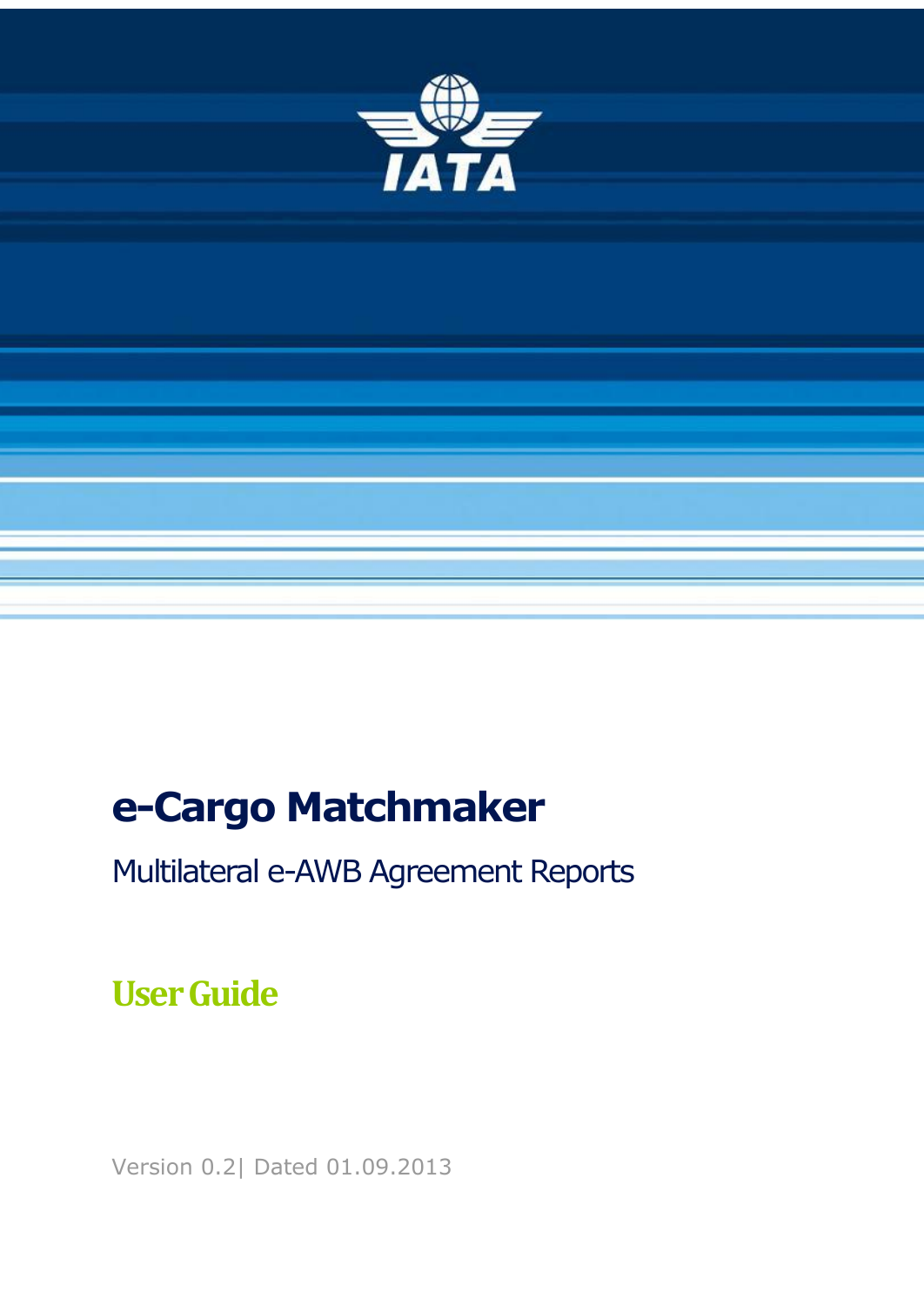

# **e-Cargo Matchmaker**

Multilateral e-AWB Agreement Reports

## **User Guide**

Version 0.2| Dated 01.09.2013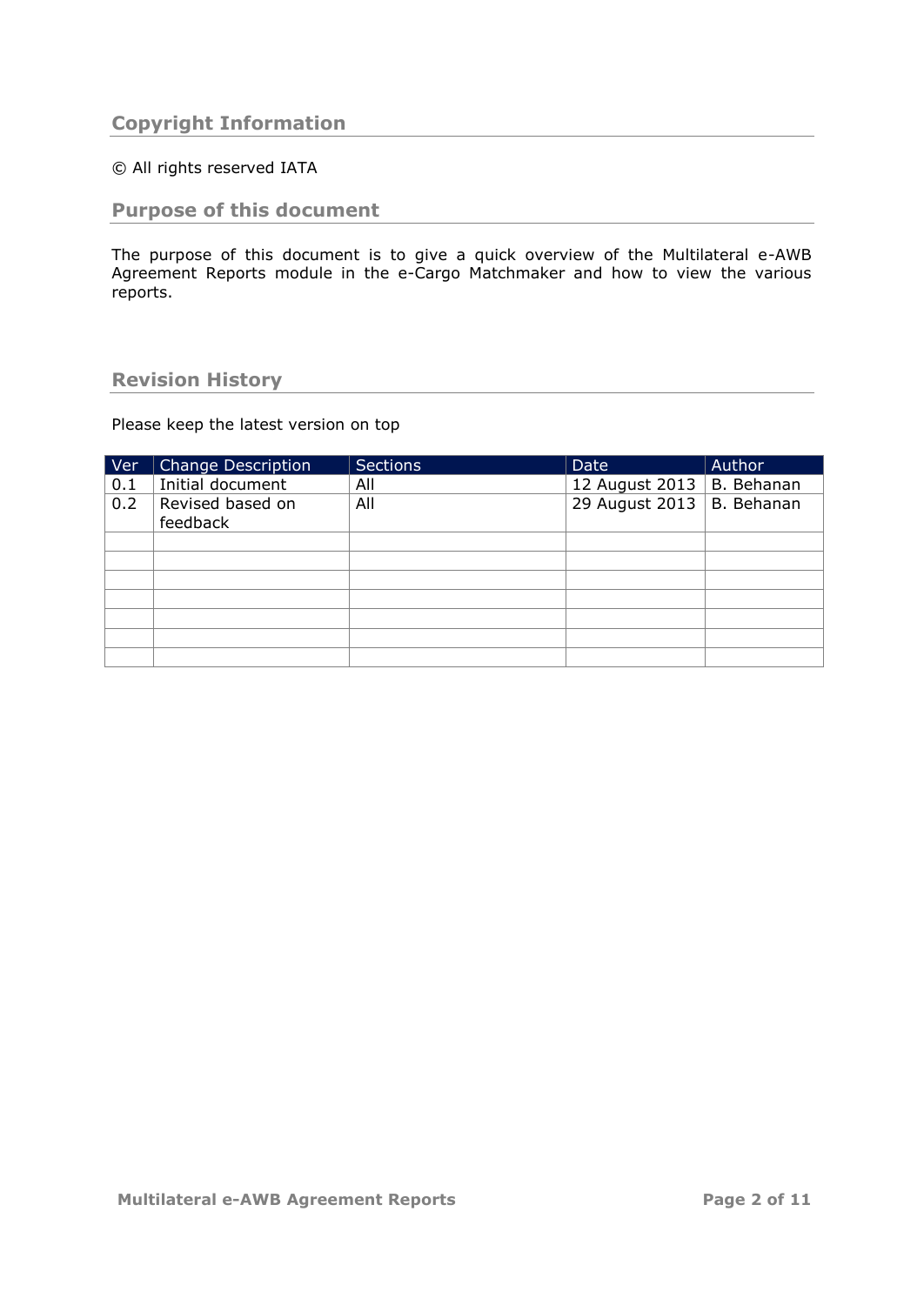## <span id="page-1-0"></span>**Copyright Information**

## © All rights reserved IATA

## <span id="page-1-1"></span>**Purpose of this document**

The purpose of this document is to give a quick overview of the Multilateral e-AWB Agreement Reports module in the e-Cargo Matchmaker and how to view the various reports.

## <span id="page-1-2"></span>**Revision History**

Please keep the latest version on top

| Ver | <b>Change Description</b>    | <b>Sections</b> | Date           | Author     |
|-----|------------------------------|-----------------|----------------|------------|
| 0.1 | Initial document             | All             | 12 August 2013 | B. Behanan |
| 0.2 | Revised based on<br>feedback | All             | 29 August 2013 | B. Behanan |
|     |                              |                 |                |            |
|     |                              |                 |                |            |
|     |                              |                 |                |            |
|     |                              |                 |                |            |
|     |                              |                 |                |            |
|     |                              |                 |                |            |
|     |                              |                 |                |            |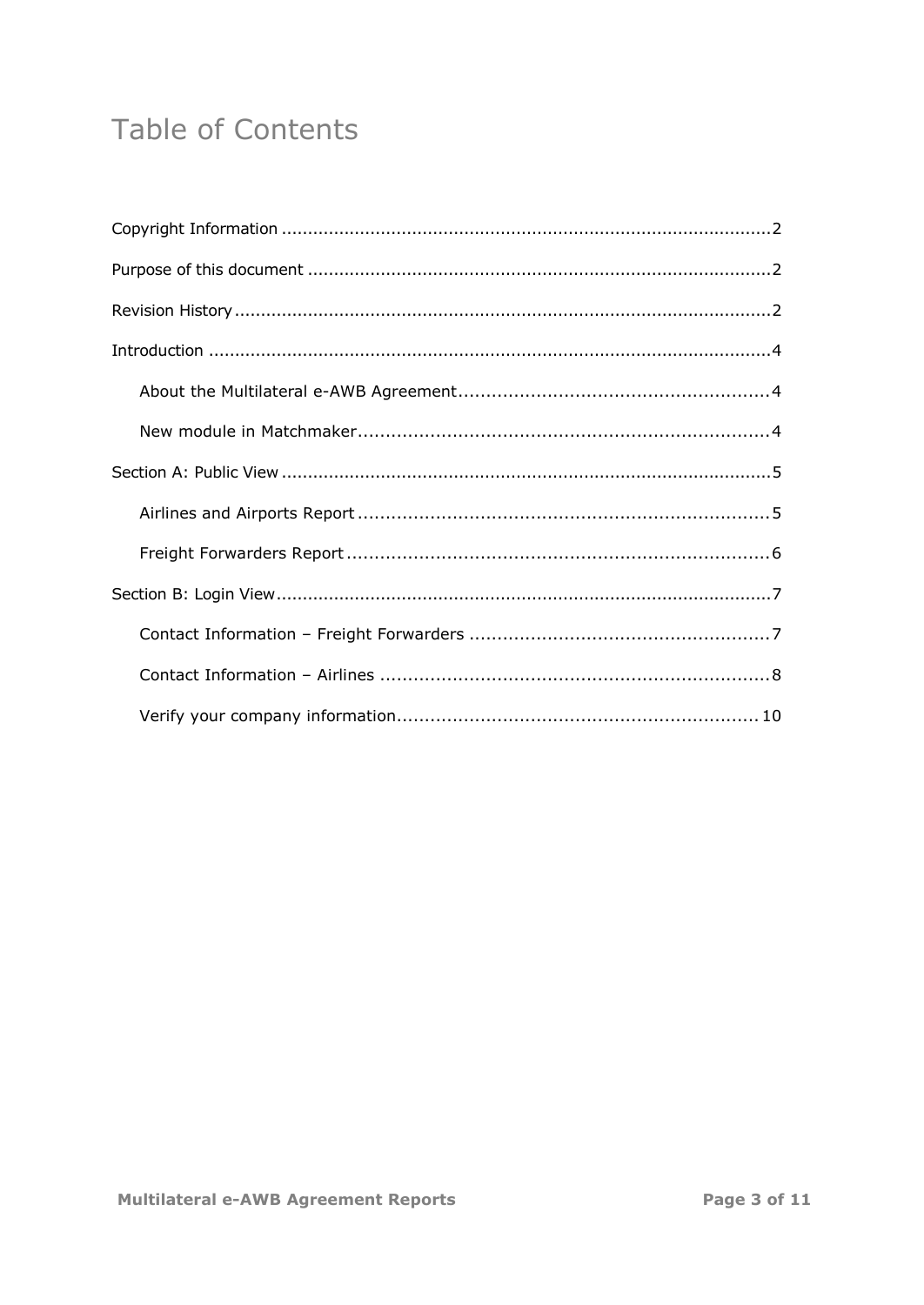## Table of Contents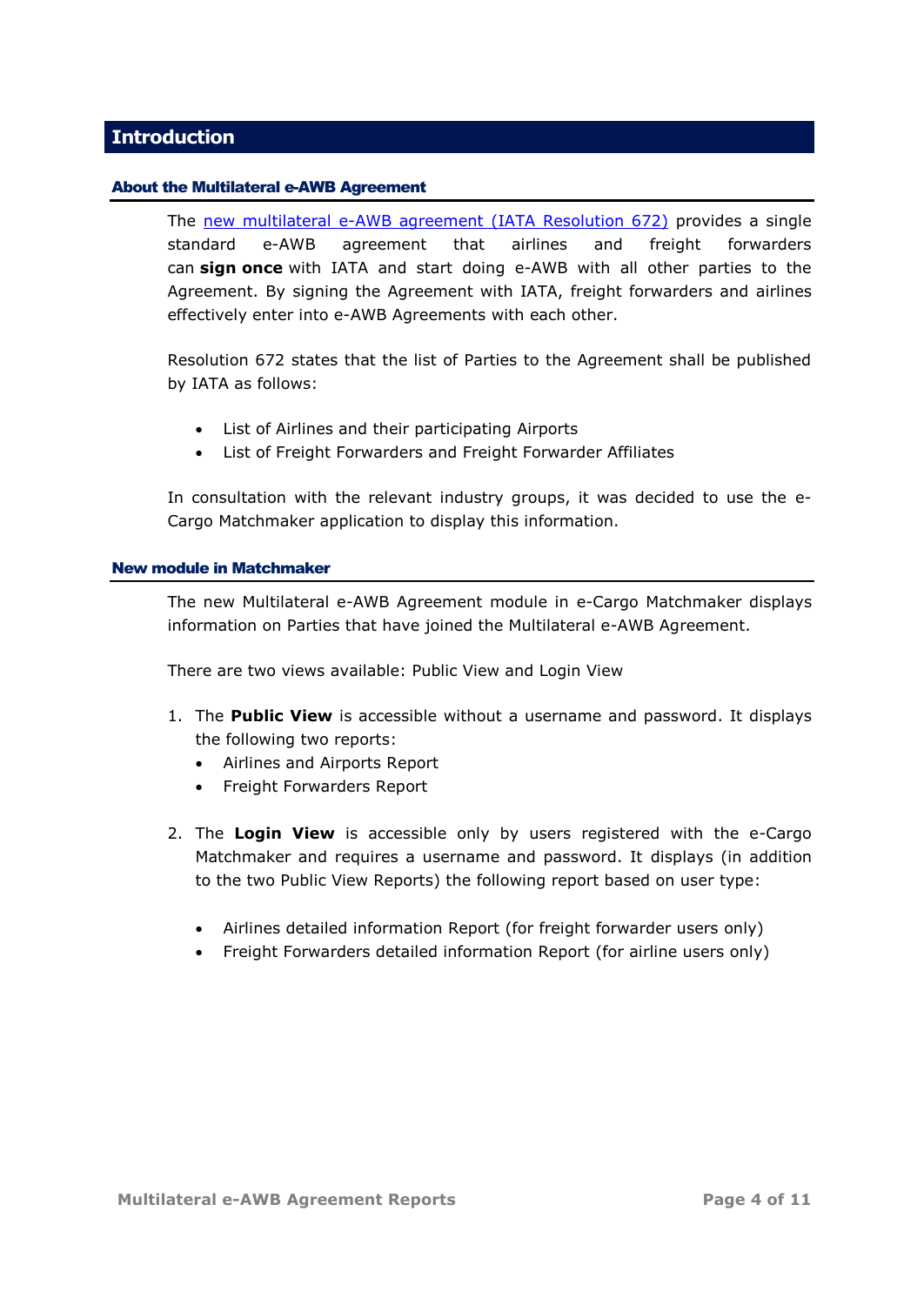## <span id="page-3-0"></span>**Introduction**

#### <span id="page-3-1"></span>About the Multilateral e-AWB Agreement

The [new multilateral e-AWB agreement \(IATA Resolution 672\)](http://www.iata.org/whatwedo/cargo/e/eawb/Pages/multilateral.aspx) provides a single standard e-AWB agreement that airlines and freight forwarders can **sign once** with IATA and start doing e-AWB with all other parties to the Agreement. By signing the Agreement with IATA, freight forwarders and airlines effectively enter into e-AWB Agreements with each other.

Resolution 672 states that the list of Parties to the Agreement shall be published by IATA as follows:

- List of Airlines and their participating Airports
- List of Freight Forwarders and Freight Forwarder Affiliates

In consultation with the relevant industry groups, it was decided to use the e-Cargo Matchmaker application to display this information.

#### <span id="page-3-2"></span>New module in Matchmaker

The new Multilateral e-AWB Agreement module in e-Cargo Matchmaker displays information on Parties that have joined the Multilateral e-AWB Agreement.

There are two views available: Public View and Login View

- 1. The **Public View** is accessible without a username and password. It displays the following two reports:
	- Airlines and Airports Report
	- Freight Forwarders Report
- 2. The **Login View** is accessible only by users registered with the e-Cargo Matchmaker and requires a username and password. It displays (in addition to the two Public View Reports) the following report based on user type:
	- Airlines detailed information Report (for freight forwarder users only)
	- Freight Forwarders detailed information Report (for airline users only)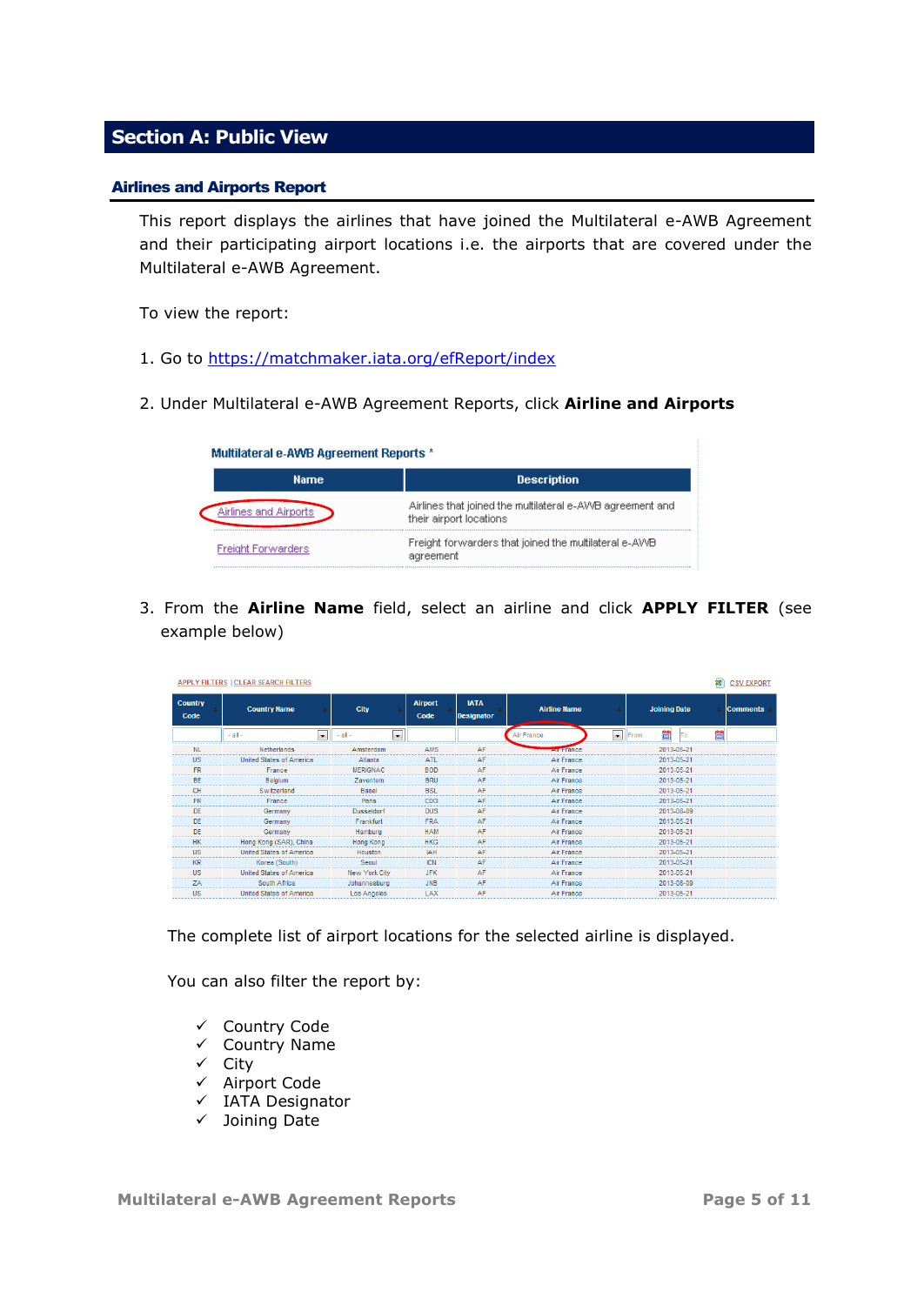## <span id="page-4-0"></span>**Section A: Public View**

#### <span id="page-4-1"></span>Airlines and Airports Report

This report displays the airlines that have joined the Multilateral e-AWB Agreement and their participating airport locations i.e. the airports that are covered under the Multilateral e-AWB Agreement.

To view the report:

- 1. Go to<https://matchmaker.iata.org/efReport/index>
- 2. Under Multilateral e-AWB Agreement Reports, click **Airline and Airports**

| <b>Multilateral e-AWB Agreement Reports *</b> |                                                                                      |
|-----------------------------------------------|--------------------------------------------------------------------------------------|
| <b>Name</b>                                   | <b>Description</b>                                                                   |
| Airlines and Airports                         | Airlines that joined the multilateral e-AWB agreement and<br>their airport locations |
| <b>Freight Forwarders</b>                     | Freight forwarders that joined the multilateral e-AWB<br>agreement                   |

3. From the **Airline Name** field, select an airline and click **APPLY FILTER** (see example below)

| 鸞<br><b>APPLY FILTERS I CLEAR SEARCH FILTERS</b> |                                         |                                         |                        |                                  |                     | <b>CSV EXPORT</b> |                     |     |   |                 |
|--------------------------------------------------|-----------------------------------------|-----------------------------------------|------------------------|----------------------------------|---------------------|-------------------|---------------------|-----|---|-----------------|
| <b>Country</b><br>Code                           | <b>Country Name</b>                     | <b>City</b>                             | <b>Airport</b><br>Code | <b>IATA</b><br><b>Designator</b> | <b>Airline Name</b> |                   | <b>Joining Date</b> |     |   | <b>Comments</b> |
|                                                  | $\overline{\phantom{a}}$<br>$-$ all $-$ | $-$ all $-$<br>$\overline{\phantom{a}}$ |                        |                                  | Air France          | $\blacksquare$    | 晉<br>From:          | To: | õ |                 |
| <b>NL</b>                                        | Netherlands                             | Amsterdam                               | <b>AMS</b>             | AF                               | <b>Au France</b>    |                   | 2013-05-21          |     |   |                 |
| <b>US</b>                                        | United States of America                | Atlanta                                 | <b>ATL</b>             | AF                               | Air France          |                   | 2013-05-21          |     |   |                 |
| <b>FR</b>                                        | France                                  | <b>MERIGNAC</b>                         | <b>BOD</b>             | AF                               | Air France          |                   | 2013-05-21          |     |   |                 |
| <b>BE</b>                                        | Belgium                                 | Zaventem                                | <b>BRU</b>             | AF                               | Air France          |                   | 2013-05-21          |     |   |                 |
| CH                                               | Switzerland                             | <b>Basel</b>                            | <b>BSL</b>             | AF                               | Air France          |                   | 2013-05-21          |     |   |                 |
| <b>FR</b>                                        | France                                  | Paris                                   | CDG                    | AF                               | Air France          |                   | 2013-05-21          |     |   |                 |
| <b>DE</b>                                        | Germany                                 | <b>Dusseldorf</b>                       | <b>DUS</b>             | AF                               | Air France          |                   | 2013-08-09          |     |   |                 |
| DF                                               | Germany                                 | Frankfurt                               | <b>FRA</b>             | AF                               | Air France          |                   | 2013-05-21          |     |   |                 |
| <b>DE</b>                                        | Germany                                 | Hamburg                                 | <b>HAM</b>             | AF                               | Air France          |                   | 2013-05-21          |     |   |                 |
| <b>HK</b>                                        | Hong Kong (SAR), China                  | <b>Hong Kong</b>                        | <b>HKG</b>             | AF                               | Air France          |                   | 2013-05-21          |     |   |                 |
| <b>US</b>                                        | United States of America                | Houston                                 | IAH                    | AF                               | Air France          |                   | 2013-05-21          |     |   |                 |
| <b>KR</b>                                        | Korea (South)                           | Seoul                                   | <b>ICN</b>             | AF                               | Air France          |                   | 2013-05-21          |     |   |                 |
| <b>US</b>                                        | <b>United States of America</b>         | New York City                           | <b>JFK</b>             | AF                               | Air France          |                   | 2013-05-21          |     |   |                 |
| <b>7A</b>                                        | South Africa                            | Johannesburg                            | <b>JNB</b>             | AF                               | Air France          |                   | 2013-08-09          |     |   |                 |
| <b>US</b>                                        | <b>United States of America</b>         | <b>Los Angeles</b>                      | LAX                    | AF                               | Air France          |                   | 2013-05-21          |     |   |                 |

The complete list of airport locations for the selected airline is displayed.

You can also filter the report by:

- $\checkmark$  Country Code
- $\checkmark$  Country Name
- $\checkmark$  City
- $\checkmark$  Airport Code
- $\checkmark$  IATA Designator
- $\checkmark$  Joining Date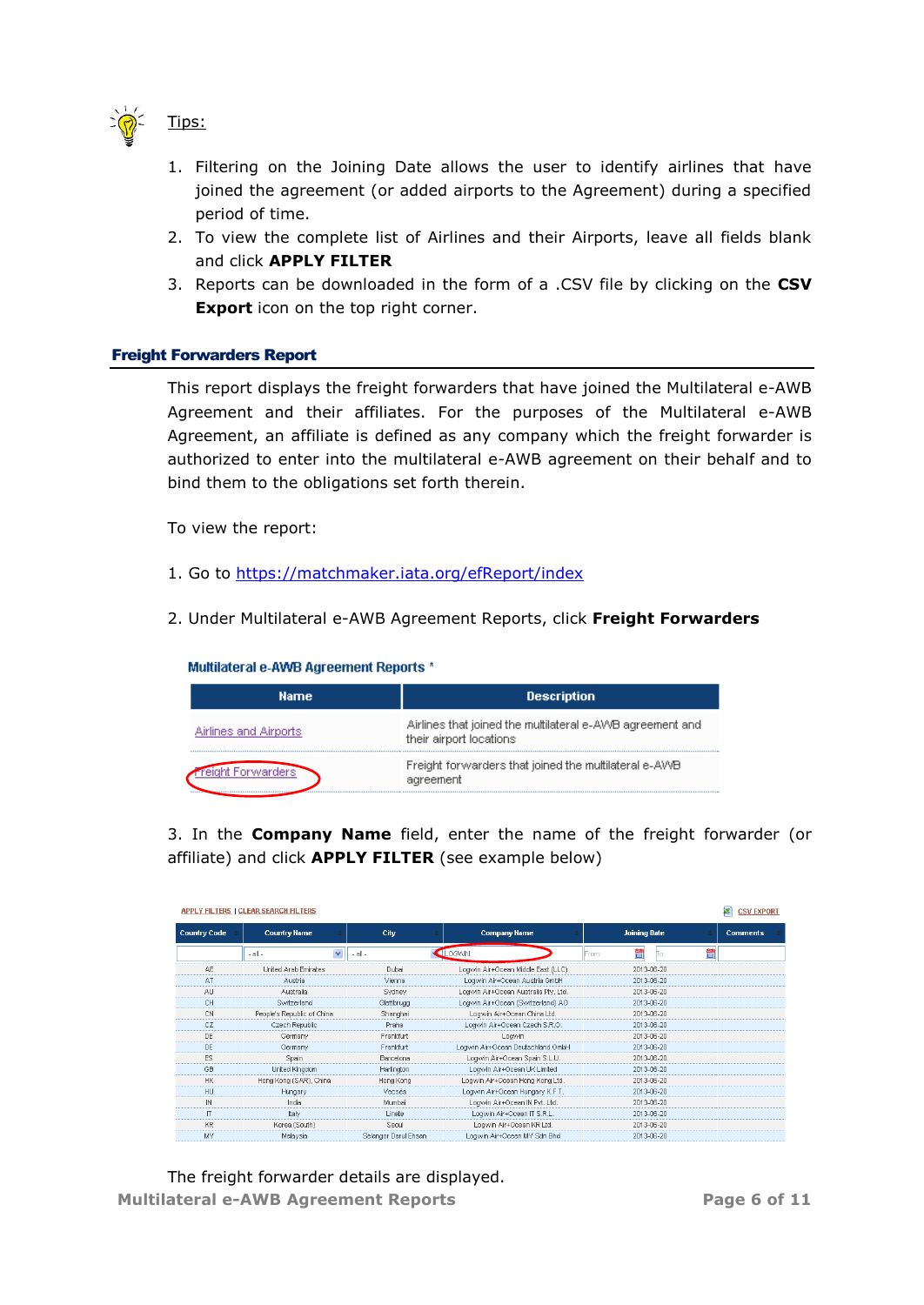

1. Filtering on the Joining Date allows the user to identify airlines that have joined the agreement (or added airports to the Agreement) during a specified period of time.

- 2. To view the complete list of Airlines and their Airports, leave all fields blank and click **APPLY FILTER**
- 3. Reports can be downloaded in the form of a .CSV file by clicking on the **CSV Export** icon on the top right corner.

## <span id="page-5-0"></span>Freight Forwarders Report

This report displays the freight forwarders that have joined the Multilateral e-AWB Agreement and their affiliates. For the purposes of the Multilateral e-AWB Agreement, an affiliate is defined as any company which the freight forwarder is authorized to enter into the multilateral e-AWB agreement on their behalf and to bind them to the obligations set forth therein.

To view the report:

- 1. Go to<https://matchmaker.iata.org/efReport/index>
- 2. Under Multilateral e-AWB Agreement Reports, click **Freight Forwarders**

Multilateral e-AWB Agreement Reports \*

| Name.                      | <b>Description</b>                                                                   |
|----------------------------|--------------------------------------------------------------------------------------|
| Airlines and Airports      | Airlines that joined the multilateral e-AWB agreement and<br>their airport locations |
| nt Forwarders <sup>1</sup> | Freight forwarders that joined the multilateral e-AWB<br>agreement                   |

3. In the **Company Name** field, enter the name of the freight forwarder (or affiliate) and click **APPLY FILTER** (see example below)

|                     | <b>APPLY FILTERS   CLEAR SEARCH FILTERS</b> |                      |                                      |                         | <b>CSV EXPORT</b> |
|---------------------|---------------------------------------------|----------------------|--------------------------------------|-------------------------|-------------------|
| <b>Country Code</b> | <b>Country Name</b>                         | City                 | <b>Company Name</b>                  | <b>Joining Date</b>     | <b>Comments</b>   |
|                     | $\checkmark$<br>$-$ all $-$                 | $-$ all $-$          | LOGWIN                               | ö<br>ö<br>From:<br>IΤο: |                   |
| AE                  | United Arab Emirates                        | Dubai                | Logwin Air+Ocean Middle East (LLC)   | 2013-06-20              |                   |
| AT                  | Austria                                     | Vienna               | Logwin Air+Ocean Austria GmbH        | 2013-06-20              |                   |
| AU                  | Australia                                   | Sydney               | Logwin Air+Ocean Australia Ptv. Ltd. | 2013-06-20              |                   |
| CH                  | Switzerland                                 | Glattbrugg           | Logwin Air+Ocean (Switzerland) AG    | 2013-06-20              |                   |
| CN                  | People's Republic of China                  | Shanghai             | Logwin Air+Ocean China Ltd.          | 2013-06-20              |                   |
| CZ                  | Czech Republic                              | Praha                | Logwin Air+Ocean Czech S.R.O.        | 2013-06-20              |                   |
| DE                  | Germany                                     | Frankfurt            | Logwin                               | 2013-06-20              |                   |
| DE                  | Germany                                     | Frankfurt            | Loqwin Air+Ocean Deutschland GmbH    | 2013-06-20              |                   |
| ES                  | Spain                                       | Barcelona            | Logwin Air+Ocean Spain S.L.U.        | 2013-06-20              |                   |
| GB                  | United Kingdom                              | Harlington           | Logwin Air+Ocean UK Limited          | 2013-06-20              |                   |
| <b>HK</b>           | Hong Kong (SAR), China                      | Hong Kong            | Logwin Air+Ocean Hong Kong Ltd.      | 2013-06-20              |                   |
| HU                  | Hungary                                     | Vecsés               | Logwin Air+Ocean Hungary K.F.T.      | 2013-06-20              |                   |
| $\mathbb{N}$        | India                                       | Mumbai               | Logwin Air+Ocean IN Pvt. Ltd.        | 2013-06-20              |                   |
| $\mathsf{I}$        | ltaly                                       | Linate               | Loqwin Air+Ocean IT S.R.L.           | 2013-06-20              |                   |
| KR                  | Korea (South)                               | Seoul                | Logwin Air+Ocean KR Ltd.             | 2013-06-20              |                   |
| MY                  | Malaysia                                    | Selangor Darul Ehsan | Logwin Air+Ocean MY Sdn Bhd          | 2013-06-20              |                   |

**Multilateral e-AWB Agreement Reports Page 6 of 11** The freight forwarder details are displayed.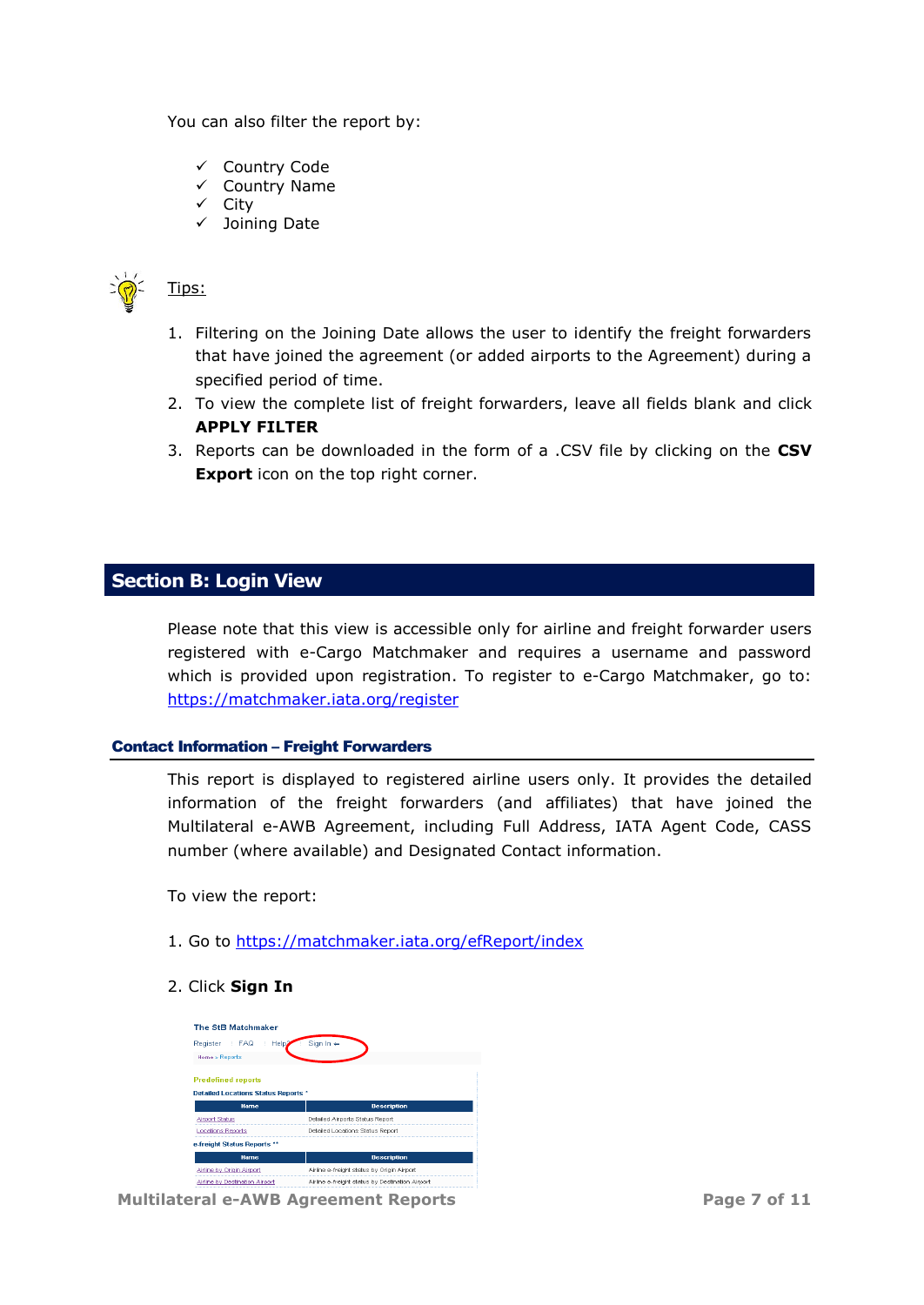You can also filter the report by:

- Country Code
- $\checkmark$  Country Name
- $\checkmark$  City
- $\checkmark$  Joining Date



Tips:

- 1. Filtering on the Joining Date allows the user to identify the freight forwarders that have joined the agreement (or added airports to the Agreement) during a specified period of time.
- 2. To view the complete list of freight forwarders, leave all fields blank and click **APPLY FILTER**
- 3. Reports can be downloaded in the form of a .CSV file by clicking on the **CSV Export** icon on the top right corner.

## <span id="page-6-0"></span>**Section B: Login View**

Please note that this view is accessible only for airline and freight forwarder users registered with e-Cargo Matchmaker and requires a username and password which is provided upon registration. To register to e-Cargo Matchmaker, go to: <https://matchmaker.iata.org/register>

#### <span id="page-6-1"></span>Contact Information – Freight Forwarders

This report is displayed to registered airline users only. It provides the detailed information of the freight forwarders (and affiliates) that have joined the Multilateral e-AWB Agreement, including Full Address, IATA Agent Code, CASS number (where available) and Designated Contact information.

To view the report:

1. Go to<https://matchmaker.iata.org/efReport/index>

## 2. Click **Sign In**

| The StB Matchmaker                                                      |                                            |
|-------------------------------------------------------------------------|--------------------------------------------|
| Help <sub>2</sub><br><b>FAQ</b><br>Register                             | Sign In $\Leftarrow$                       |
| Home » Reports                                                          |                                            |
| <b>Predefined reports</b><br><b>Detailed Locations Status Reports *</b> |                                            |
| <b>Name</b>                                                             | <b>Description</b>                         |
| <b>Airport Status</b>                                                   | Detailed Airports Status Report            |
| <b>Locations Reports</b>                                                | Detailed Locations Status Report           |
| e-freight Status Reports **                                             |                                            |
|                                                                         |                                            |
| <b>Name</b>                                                             | <b>Description</b>                         |
| Airline by Origin Airport                                               | Airline e-freight status by Origin Airport |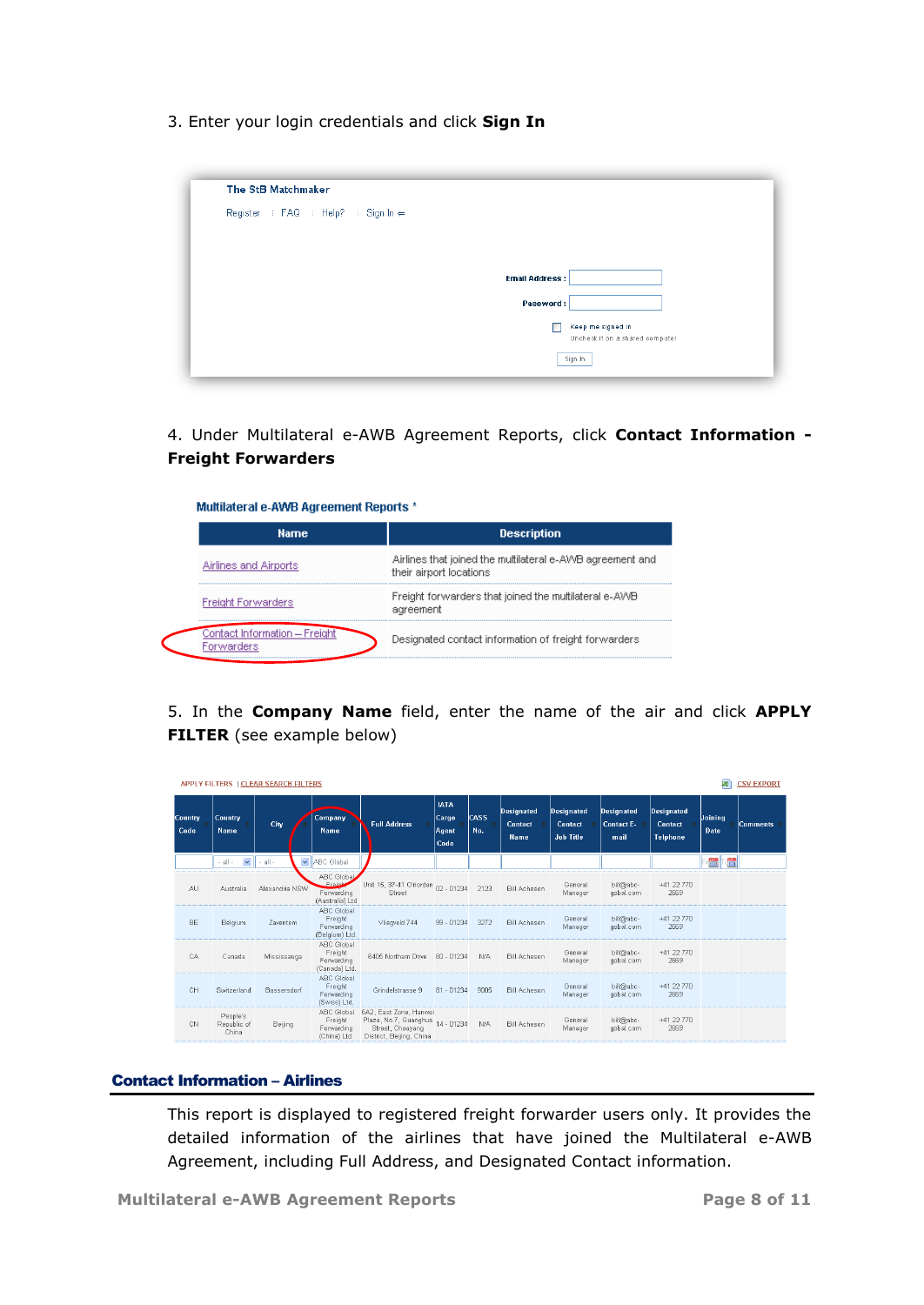3. Enter your login credentials and click **Sign In**

| The StB Matchmaker                 |                       |                                 |
|------------------------------------|-----------------------|---------------------------------|
| Register : FAQ : Help? : Sign In ← |                       |                                 |
|                                    |                       |                                 |
|                                    |                       |                                 |
|                                    | <b>Email Address:</b> |                                 |
|                                    | Password:             |                                 |
|                                    |                       | Keep me signed in               |
|                                    |                       | Uncheck if on a shared computer |
|                                    |                       | Sign In                         |

4. Under Multilateral e-AWB Agreement Reports, click **Contact Information - Freight Forwarders**

| Multilateral e-AWB Agreement Reports * |                                                                                      |  |  |  |  |  |
|----------------------------------------|--------------------------------------------------------------------------------------|--|--|--|--|--|
| <b>Name</b>                            | <b>Description</b>                                                                   |  |  |  |  |  |
| Airlines and Airports                  | Airlines that joined the multilateral e-AWB agreement and<br>their airport locations |  |  |  |  |  |
| <b>Freight Forwarders</b>              | Freight forwarders that joined the multilateral e-AWB<br>agreement                   |  |  |  |  |  |
| Contact Information — Freight          | Designated contact information of freight forwarders                                 |  |  |  |  |  |

5. In the **Company Name** field, enter the name of the air and click **APPLY FILTER** (see example below)

|                  |                                  | APPLY FILTERS   CLEAR SEARCH FILTERS |                                                           |                                                                                                            |                                       |                    |                                             |                                                  |                                  |                                                        | ₹               | <b>CSV EXPORT</b> |
|------------------|----------------------------------|--------------------------------------|-----------------------------------------------------------|------------------------------------------------------------------------------------------------------------|---------------------------------------|--------------------|---------------------------------------------|--------------------------------------------------|----------------------------------|--------------------------------------------------------|-----------------|-------------------|
| Country,<br>Code | Country<br>Name                  | City                                 | Company<br><b>Name</b>                                    | <b>Full Address</b>                                                                                        | <b>IATA</b><br>Cargo<br>Agent<br>Code | <b>CASS</b><br>No. | <b>Designated</b><br>Contact<br><b>Name</b> | <b>Designated</b><br>Contact<br><b>Job Title</b> | Designated<br>Contact E-<br>mail | <b>Designated</b><br><b>Contact</b><br><b>Telphone</b> | Joining<br>Date | Comments,         |
|                  | $\checkmark$<br>$-$ all $-$      | $\checkmark$<br>$-$ all $-$          | ABC Global                                                |                                                                                                            |                                       |                    |                                             |                                                  |                                  |                                                        | 醟<br>省          |                   |
| <b>AU</b>        | Australia                        | Alexandria NSW                       | ABC Global<br>$-$ Freigh<br>Forwarding<br>(Australia) Ltd | Unit 15, 37-41 O'riordan 02 - 01234<br>Street                                                              |                                       | 2123               | <b>Bill Acheson</b>                         | General<br>Manager                               | bill@abc-<br>gobal.com           | +41 22 770<br>2669                                     |                 |                   |
| <b>BE</b>        | Belgium                          | Zaventem                             | ABC Global<br>Freight<br>Forwarding<br>(Belgium) Ltd.     | Vliegveld 744                                                                                              | $99 - 01234$                          | 3272               | <b>Bill Acheson</b>                         | General<br>Manager                               | bill@abc-<br>gobal.com           | +41 22 770<br>2669                                     |                 |                   |
| CA.              | Canada                           | Mississauga                          | ABC Global<br>Freight<br>Forwarding<br>(Canada) Ltd.      | 6405 Northam Drive                                                                                         | 60 - 01234                            | N/A                | <b>Bill Acheson</b>                         | General<br>Manager                               | bill@abc-<br>gobal.com           | +41 22 770<br>2669                                     |                 |                   |
| CH               | Switzerland                      | Bassersdorf                          | ABC Global<br>Freight<br>Forwarding<br>(Swiss) Ltd.       | Grindelstrasse 9                                                                                           | $81 - 01234$                          | 9005               | <b>Bill Acheson</b>                         | General<br>Manager                               | bill@abc-<br>gobal.com           | +41 22 770<br>2669                                     |                 |                   |
| CN               | People's<br>Republic of<br>China | Beijing                              | ABC Global<br>Freight<br>Forwarding<br>(China) Ltd.       | 6A2, East Zone, Hanwei<br>Plaza, No.7, Guanghua 14 - 01234<br>Street, Choayang<br>District, Beijing, China |                                       | N/A                | <b>Bill Acheson</b>                         | General<br>Manager                               | bill@abc-<br>gobal.com           | +41 22 770<br>2669                                     |                 |                   |

#### <span id="page-7-0"></span>Contact Information – Airlines

This report is displayed to registered freight forwarder users only. It provides the detailed information of the airlines that have joined the Multilateral e-AWB Agreement, including Full Address, and Designated Contact information.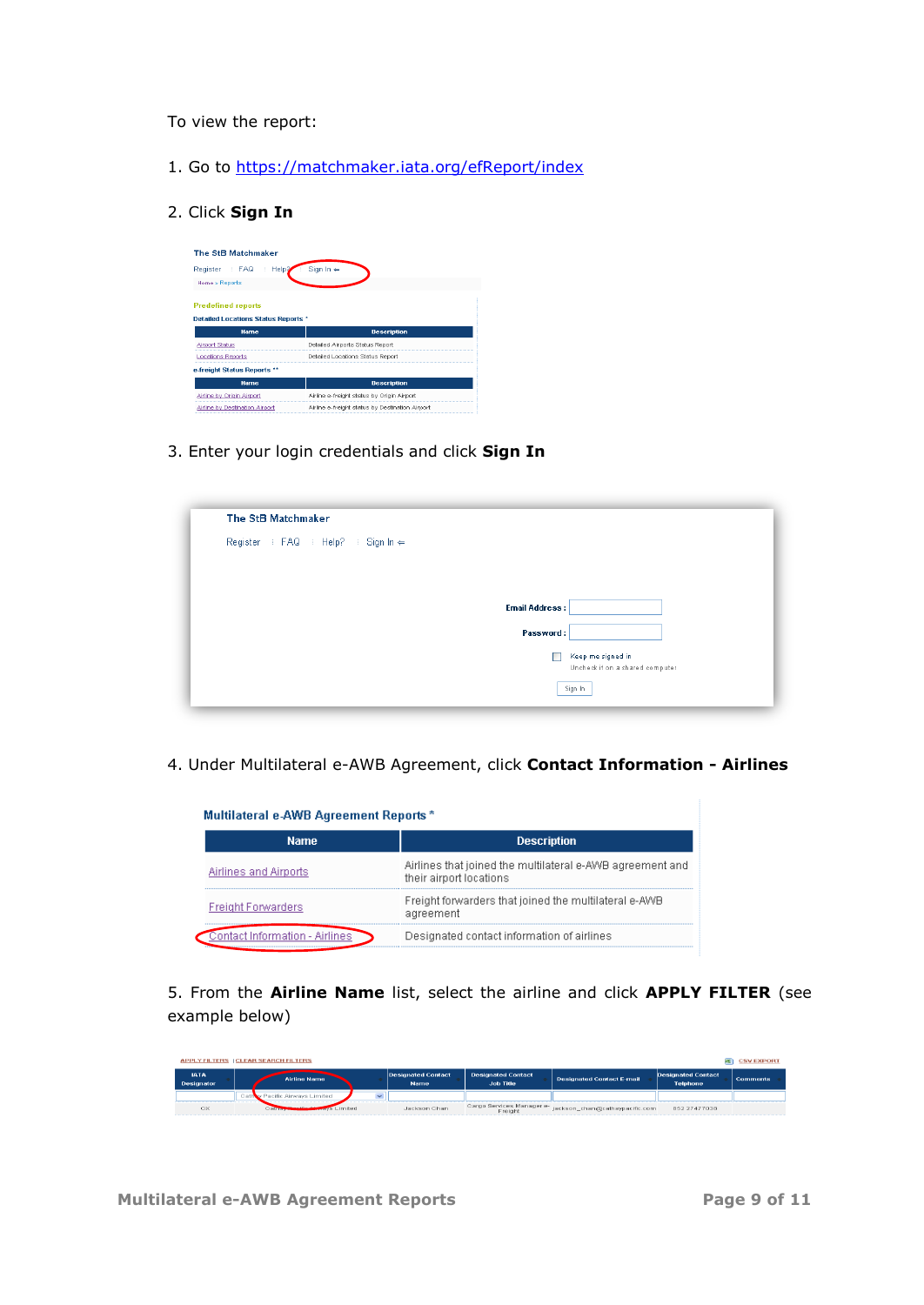To view the report:

- 1. Go to<https://matchmaker.iata.org/efReport/index>
- 2. Click **Sign In**

| The StB Matchmaker                                                      |                                            |
|-------------------------------------------------------------------------|--------------------------------------------|
| Register : FAQ<br>Help <sup>2</sup>                                     | Sign $\ln$ $\Leftarrow$                    |
| Home » Reports                                                          |                                            |
| <b>Predefined reports</b><br><b>Detailed Locations Status Reports *</b> |                                            |
| <b>Name</b>                                                             | <b>Description</b>                         |
|                                                                         |                                            |
| <b>Airport Status</b>                                                   | Detailed Airports Status Report            |
| <b>Locations Reports</b>                                                | Detailed Locations Status Report           |
| e-freight Status Reports **                                             |                                            |
| <b>Name</b>                                                             | <b>Description</b>                         |
| Airline by Origin Airport                                               | Airline e-freight status by Origin Airport |

3. Enter your login credentials and click **Sign In**

| The StB Matchmaker                 |                                 |
|------------------------------------|---------------------------------|
| Register : FAQ : Help? : Sign In ← |                                 |
|                                    |                                 |
|                                    |                                 |
|                                    | <b>Email Address:</b>           |
|                                    | Password:                       |
|                                    | Keep me signed in               |
|                                    | Uncheck if on a shared computer |
|                                    | Sign In                         |

4. Under Multilateral e-AWB Agreement, click **Contact Information - Airlines** 

| <b>Name</b>               | <b>Description</b>                                                                   |  |  |
|---------------------------|--------------------------------------------------------------------------------------|--|--|
| Airlines and Airports     | Airlines that joined the multilateral e-AWB agreement and<br>their airport locations |  |  |
| <b>Freight Forwarders</b> | Freight forwarders that joined the multilateral e-AWB<br>agreement                   |  |  |
| Information - Airlines    | Designated contact information of airlines                                           |  |  |

5. From the **Airline Name** list, select the airline and click **APPLY FILTER** (see example below)

| <b>APPLY FILTERS   CLEAR SEARCH FILTERS</b><br>ss i |                                                                   |                                   |                                               |                                  |                                              | <b>CSV EXPORT</b> |
|-----------------------------------------------------|-------------------------------------------------------------------|-----------------------------------|-----------------------------------------------|----------------------------------|----------------------------------------------|-------------------|
| <b>IATA</b><br>Designator                           | <b>Airline Name</b>                                               | Designated Contact<br><b>Name</b> | <b>Designated Contact</b><br><b>Job Title</b> | <b>Designated Contact E-mail</b> | <b>Designated Contact</b><br><b>Telphone</b> | <b>Comments</b>   |
|                                                     | Cathov Pacific Airways Limited                                    |                                   |                                               |                                  |                                              |                   |
| <b>CX</b>                                           | <b>Service College Administration</b><br>avs Limited<br>Catherine | Jackson Chan                      | Cargo Services Manager e-<br>Freight          | jackson_chan@cathaypacific.com   | 852 27477038                                 |                   |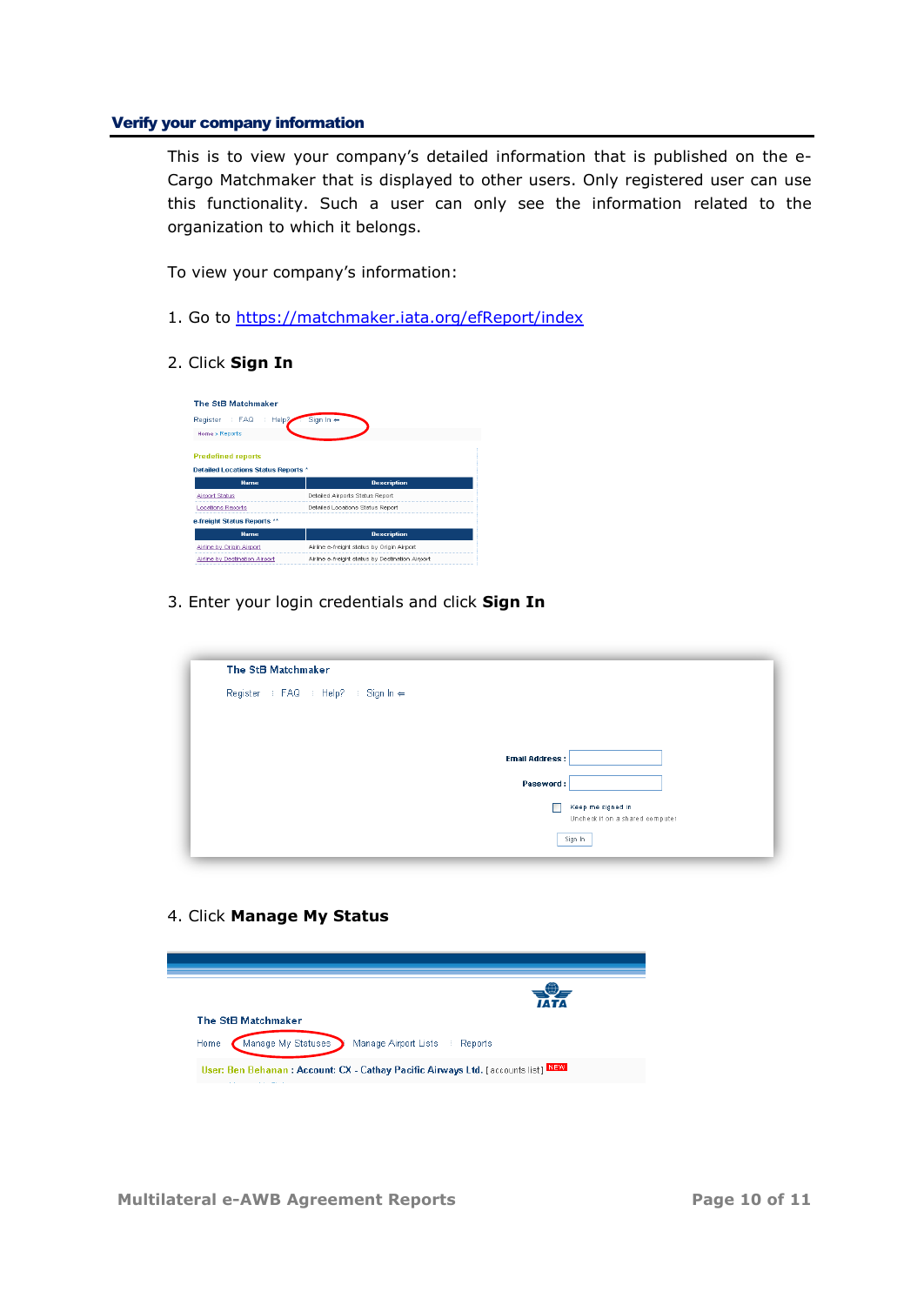#### <span id="page-9-0"></span>Verify your company information

This is to view your company's detailed information that is published on the e-Cargo Matchmaker that is displayed to other users. Only registered user can use this functionality. Such a user can only see the information related to the organization to which it belongs.

To view your company's information:

- 1. Go to<https://matchmaker.iata.org/efReport/index>
- 2. Click **Sign In**

| <b>The StB Matchmaker</b>                                |                                            |
|----------------------------------------------------------|--------------------------------------------|
| Help <sup>2</sup><br>Register   FAQ                      | Sign $In \Leftarrow$                       |
| Home » Reports                                           |                                            |
| <b>Predefined reports</b>                                |                                            |
| <b>Detailed Locations Status Reports *</b>               |                                            |
| <b>Name</b>                                              | <b>Description</b>                         |
|                                                          |                                            |
| <b>Airport Status</b>                                    | Detailed Airports Status Report            |
| <b>Locations Reports</b>                                 | Detailed Locations Status Report           |
|                                                          |                                            |
| <b>Name</b>                                              | <b>Description</b>                         |
| e-freight Status Reports **<br>Airline by Origin Airport | Airline e-freight status by Origin Airport |

3. Enter your login credentials and click **Sign In**

| The StB Matchmaker                 |                                 |
|------------------------------------|---------------------------------|
| Register : FAQ : Help? : Sign In ← |                                 |
|                                    |                                 |
|                                    |                                 |
|                                    | <b>Email Address:</b>           |
|                                    | Password:                       |
|                                    | Keep me signed in               |
|                                    | Uncheck if on a shared computer |
|                                    | Sign In                         |

4. Click **Manage My Status** 

|      |                    |                      |         | <b>TATA</b> |
|------|--------------------|----------------------|---------|-------------|
|      | The StB Matchmaker |                      |         |             |
| Home | Manage My Statuses | Manage Airport Lists | Reports |             |